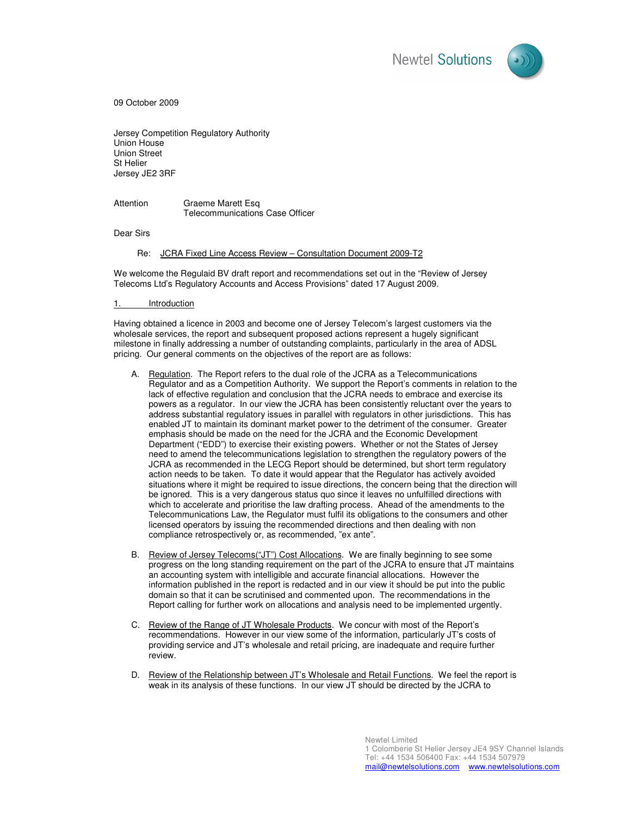

09 October 2009

Jersey Competition Regulatory Authority Union House Union Street St Helier Jersey JE2 3RF

Attention Graeme Marett Esq Telecommunications Case Officer

Dear Sirs

Re: JCRA Fixed Line Access Review – Consultation Document 2009-T2

We welcome the Regulaid BV draft report and recommendations set out in the "Review of Jersey Telecoms Ltd's Regulatory Accounts and Access Provisions" dated 17 August 2009.

**Introduction** 

Having obtained a licence in 2003 and become one of Jersey Telecom's largest customers via the wholesale services, the report and subsequent proposed actions represent a hugely significant milestone in finally addressing a number of outstanding complaints, particularly in the area of ADSL pricing. Our general comments on the objectives of the report are as follows:

- A. Regulation. The Report refers to the dual role of the JCRA as a Telecommunications Regulator and as a Competition Authority. We support the Report's comments in relation to the lack of effective regulation and conclusion that the JCRA needs to embrace and exercise its powers as a regulator. In our view the JCRA has been consistently reluctant over the years to address substantial regulatory issues in parallel with regulators in other jurisdictions. This has enabled JT to maintain its dominant market power to the detriment of the consumer. Greater emphasis should be made on the need for the JCRA and the Economic Development Department ("EDD") to exercise their existing powers. Whether or not the States of Jersey need to amend the telecommunications legislation to strengthen the regulatory powers of the JCRA as recommended in the LECG Report should be determined, but short term regulatory action needs to be taken. To date it would appear that the Regulator has actively avoided situations where it might be required to issue directions, the concern being that the direction will be ignored. This is a very dangerous status quo since it leaves no unfulfilled directions with which to accelerate and prioritise the law drafting process. Ahead of the amendments to the Telecommunications Law, the Regulator must fulfil its obligations to the consumers and other licensed operators by issuing the recommended directions and then dealing with non compliance retrospectively or, as recommended, "ex ante".
- B. Review of Jersey Telecoms("JT") Cost Allocations. We are finally beginning to see some progress on the long standing requirement on the part of the JCRA to ensure that JT maintains an accounting system with intelligible and accurate financial allocations. However the information published in the report is redacted and in our view it should be put into the public domain so that it can be scrutinised and commented upon. The recommendations in the Report calling for further work on allocations and analysis need to be implemented urgently.
- C. Review of the Range of JT Wholesale Products. We concur with most of the Report's recommendations. However in our view some of the information, particularly JT's costs of providing service and JT's wholesale and retail pricing, are inadequate and require further review.
- D. Review of the Relationship between JT's Wholesale and Retail Functions. We feel the report is weak in its analysis of these functions. In our view JT should be directed by the JCRA to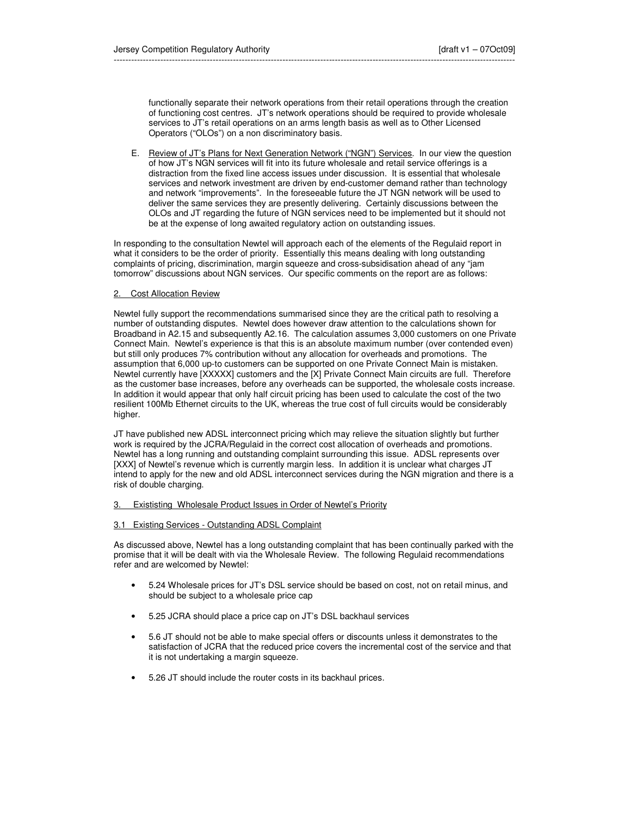functionally separate their network operations from their retail operations through the creation of functioning cost centres. JT's network operations should be required to provide wholesale services to JT's retail operations on an arms length basis as well as to Other Licensed Operators ("OLOs") on a non discriminatory basis.

E. Review of JT's Plans for Next Generation Network ("NGN") Services. In our view the question of how JT's NGN services will fit into its future wholesale and retail service offerings is a distraction from the fixed line access issues under discussion. It is essential that wholesale services and network investment are driven by end-customer demand rather than technology and network "improvements". In the foreseeable future the JT NGN network will be used to deliver the same services they are presently delivering. Certainly discussions between the OLOs and JT regarding the future of NGN services need to be implemented but it should not be at the expense of long awaited regulatory action on outstanding issues.

In responding to the consultation Newtel will approach each of the elements of the Regulaid report in what it considers to be the order of priority. Essentially this means dealing with long outstanding complaints of pricing, discrimination, margin squeeze and cross-subsidisation ahead of any "jam tomorrow" discussions about NGN services. Our specific comments on the report are as follows:

# 2. Cost Allocation Review

Newtel fully support the recommendations summarised since they are the critical path to resolving a number of outstanding disputes. Newtel does however draw attention to the calculations shown for Broadband in A2.15 and subsequently A2.16. The calculation assumes 3,000 customers on one Private Connect Main. Newtel's experience is that this is an absolute maximum number (over contended even) but still only produces 7% contribution without any allocation for overheads and promotions. The assumption that 6,000 up-to customers can be supported on one Private Connect Main is mistaken. Newtel currently have [XXXXX] customers and the [X] Private Connect Main circuits are full. Therefore as the customer base increases, before any overheads can be supported, the wholesale costs increase. In addition it would appear that only half circuit pricing has been used to calculate the cost of the two resilient 100Mb Ethernet circuits to the UK, whereas the true cost of full circuits would be considerably higher.

JT have published new ADSL interconnect pricing which may relieve the situation slightly but further work is required by the JCRA/Regulaid in the correct cost allocation of overheads and promotions. Newtel has a long running and outstanding complaint surrounding this issue. ADSL represents over [XXX] of Newtel's revenue which is currently margin less. In addition it is unclear what charges JT intend to apply for the new and old ADSL interconnect services during the NGN migration and there is a risk of double charging.

### 3. Exististing Wholesale Product Issues in Order of Newtel's Priority

### 3.1 Existing Services - Outstanding ADSL Complaint

As discussed above, Newtel has a long outstanding complaint that has been continually parked with the promise that it will be dealt with via the Wholesale Review. The following Regulaid recommendations refer and are welcomed by Newtel:

- 5.24 Wholesale prices for JT's DSL service should be based on cost, not on retail minus, and should be subject to a wholesale price cap
- 5.25 JCRA should place a price cap on JT's DSL backhaul services
- 5.6 JT should not be able to make special offers or discounts unless it demonstrates to the satisfaction of JCRA that the reduced price covers the incremental cost of the service and that it is not undertaking a margin squeeze.
- 5.26 JT should include the router costs in its backhaul prices.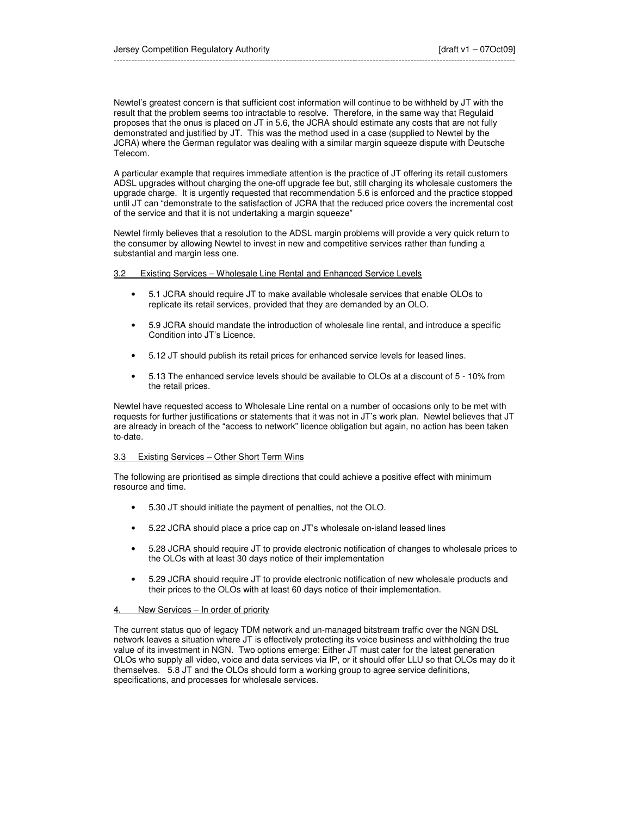Newtel's greatest concern is that sufficient cost information will continue to be withheld by JT with the result that the problem seems too intractable to resolve. Therefore, in the same way that Regulaid proposes that the onus is placed on JT in 5.6, the JCRA should estimate any costs that are not fully demonstrated and justified by JT. This was the method used in a case (supplied to Newtel by the JCRA) where the German regulator was dealing with a similar margin squeeze dispute with Deutsche Telecom.

A particular example that requires immediate attention is the practice of JT offering its retail customers ADSL upgrades without charging the one-off upgrade fee but, still charging its wholesale customers the upgrade charge. It is urgently requested that recommendation 5.6 is enforced and the practice stopped until JT can "demonstrate to the satisfaction of JCRA that the reduced price covers the incremental cost of the service and that it is not undertaking a margin squeeze"

Newtel firmly believes that a resolution to the ADSL margin problems will provide a very quick return to the consumer by allowing Newtel to invest in new and competitive services rather than funding a substantial and margin less one.

## 3.2 Existing Services – Wholesale Line Rental and Enhanced Service Levels

- 5.1 JCRA should require JT to make available wholesale services that enable OLOs to replicate its retail services, provided that they are demanded by an OLO.
- 5.9 JCRA should mandate the introduction of wholesale line rental, and introduce a specific Condition into JT's Licence.
- 5.12 JT should publish its retail prices for enhanced service levels for leased lines.
- 5.13 The enhanced service levels should be available to OLOs at a discount of 5 10% from the retail prices.

Newtel have requested access to Wholesale Line rental on a number of occasions only to be met with requests for further justifications or statements that it was not in JT's work plan. Newtel believes that JT are already in breach of the "access to network" licence obligation but again, no action has been taken to-date.

## 3.3 Existing Services – Other Short Term Wins

The following are prioritised as simple directions that could achieve a positive effect with minimum resource and time.

- 5.30 JT should initiate the payment of penalties, not the OLO.
- 5.22 JCRA should place a price cap on JT's wholesale on-island leased lines
- 5.28 JCRA should require JT to provide electronic notification of changes to wholesale prices to the OLOs with at least 30 days notice of their implementation
- 5.29 JCRA should require JT to provide electronic notification of new wholesale products and their prices to the OLOs with at least 60 days notice of their implementation.

### 4. New Services – In order of priority

The current status quo of legacy TDM network and un-managed bitstream traffic over the NGN DSL network leaves a situation where JT is effectively protecting its voice business and withholding the true value of its investment in NGN. Two options emerge: Either JT must cater for the latest generation OLOs who supply all video, voice and data services via IP, or it should offer LLU so that OLOs may do it themselves. 5.8 JT and the OLOs should form a working group to agree service definitions, specifications, and processes for wholesale services.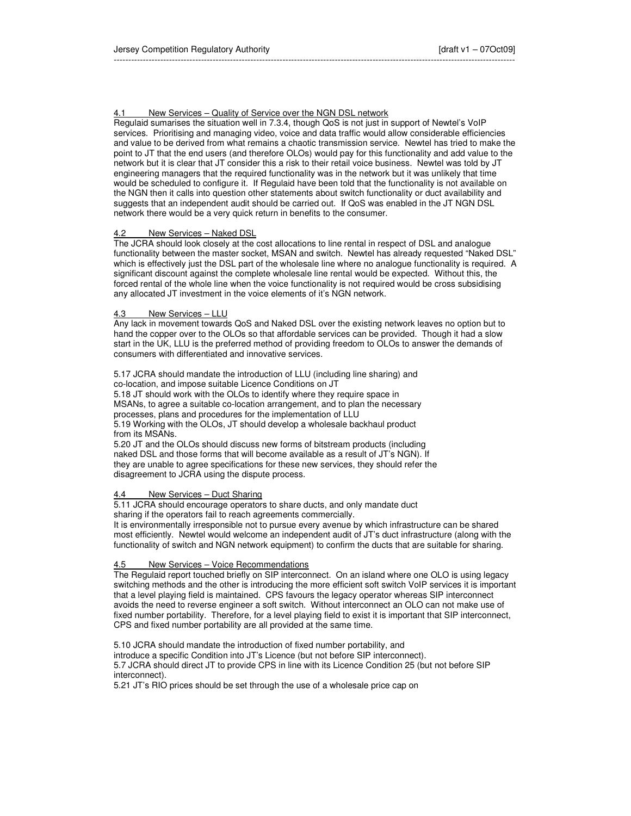# 4.1 New Services – Quality of Service over the NGN DSL network

Regulaid sumarises the situation well in 7.3.4, though QoS is not just in support of Newtel's VoIP services. Prioritising and managing video, voice and data traffic would allow considerable efficiencies and value to be derived from what remains a chaotic transmission service. Newtel has tried to make the point to JT that the end users (and therefore OLOs) would pay for this functionality and add value to the network but it is clear that JT consider this a risk to their retail voice business. Newtel was told by JT engineering managers that the required functionality was in the network but it was unlikely that time would be scheduled to configure it. If Regulaid have been told that the functionality is not available on the NGN then it calls into question other statements about switch functionality or duct availability and suggests that an independent audit should be carried out. If QoS was enabled in the JT NGN DSL network there would be a very quick return in benefits to the consumer.

# New Services - Naked DSL

The JCRA should look closely at the cost allocations to line rental in respect of DSL and analogue functionality between the master socket, MSAN and switch. Newtel has already requested "Naked DSL" which is effectively just the DSL part of the wholesale line where no analogue functionality is required. A significant discount against the complete wholesale line rental would be expected. Without this, the forced rental of the whole line when the voice functionality is not required would be cross subsidising any allocated JT investment in the voice elements of it's NGN network.

## 4.3 New Services – LLU

Any lack in movement towards QoS and Naked DSL over the existing network leaves no option but to hand the copper over to the OLOs so that affordable services can be provided. Though it had a slow start in the UK, LLU is the preferred method of providing freedom to OLOs to answer the demands of consumers with differentiated and innovative services.

# 5.17 JCRA should mandate the introduction of LLU (including line sharing) and

co-location, and impose suitable Licence Conditions on JT

5.18 JT should work with the OLOs to identify where they require space in MSANs, to agree a suitable co-location arrangement, and to plan the necessary processes, plans and procedures for the implementation of LLU

5.19 Working with the OLOs, JT should develop a wholesale backhaul product from its MSANs.

5.20 JT and the OLOs should discuss new forms of bitstream products (including naked DSL and those forms that will become available as a result of JT's NGN). If they are unable to agree specifications for these new services, they should refer the disagreement to JCRA using the dispute process.

# New Services – Duct Sharing

5.11 JCRA should encourage operators to share ducts, and only mandate duct sharing if the operators fail to reach agreements commercially.

It is environmentally irresponsible not to pursue every avenue by which infrastructure can be shared most efficiently. Newtel would welcome an independent audit of JT's duct infrastructure (along with the functionality of switch and NGN network equipment) to confirm the ducts that are suitable for sharing.

# New Services – Voice Recommendations

The Regulaid report touched briefly on SIP interconnect. On an island where one OLO is using legacy switching methods and the other is introducing the more efficient soft switch VoIP services it is important that a level playing field is maintained. CPS favours the legacy operator whereas SIP interconnect avoids the need to reverse engineer a soft switch. Without interconnect an OLO can not make use of fixed number portability. Therefore, for a level playing field to exist it is important that SIP interconnect, CPS and fixed number portability are all provided at the same time.

5.10 JCRA should mandate the introduction of fixed number portability, and introduce a specific Condition into JT's Licence (but not before SIP interconnect). 5.7 JCRA should direct JT to provide CPS in line with its Licence Condition 25 (but not before SIP interconnect).

5.21 JT's RIO prices should be set through the use of a wholesale price cap on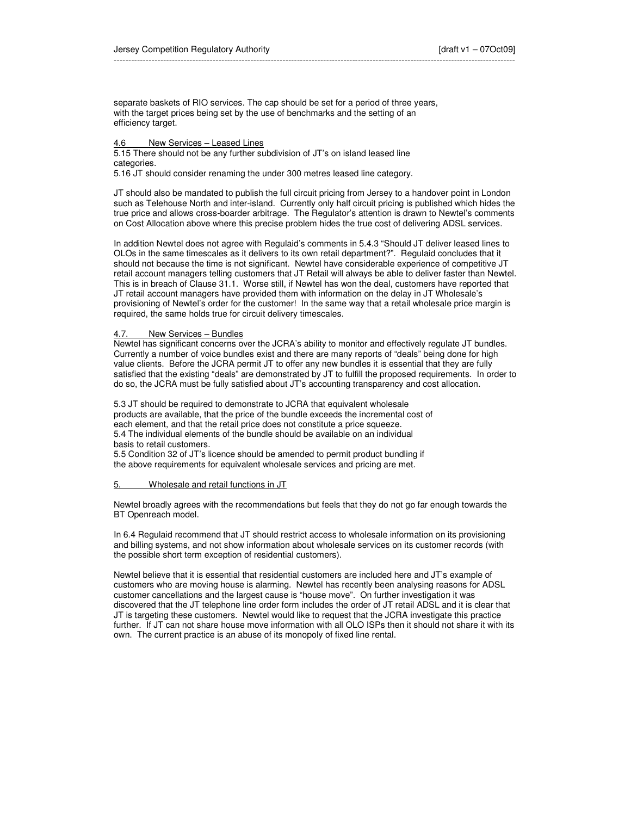separate baskets of RIO services. The cap should be set for a period of three years, with the target prices being set by the use of benchmarks and the setting of an efficiency target.

# 4.6 New Services – Leased Lines

5.15 There should not be any further subdivision of JT's on island leased line categories.

5.16 JT should consider renaming the under 300 metres leased line category.

JT should also be mandated to publish the full circuit pricing from Jersey to a handover point in London such as Telehouse North and inter-island. Currently only half circuit pricing is published which hides the true price and allows cross-boarder arbitrage. The Regulator's attention is drawn to Newtel's comments on Cost Allocation above where this precise problem hides the true cost of delivering ADSL services.

In addition Newtel does not agree with Regulaid's comments in 5.4.3 "Should JT deliver leased lines to OLOs in the same timescales as it delivers to its own retail department?". Regulaid concludes that it should not because the time is not significant. Newtel have considerable experience of competitive JT retail account managers telling customers that JT Retail will always be able to deliver faster than Newtel. This is in breach of Clause 31.1. Worse still, if Newtel has won the deal, customers have reported that JT retail account managers have provided them with information on the delay in JT Wholesale's provisioning of Newtel's order for the customer! In the same way that a retail wholesale price margin is required, the same holds true for circuit delivery timescales.

## 4.7. New Services – Bundles

Newtel has significant concerns over the JCRA's ability to monitor and effectively regulate JT bundles. Currently a number of voice bundles exist and there are many reports of "deals" being done for high value clients. Before the JCRA permit JT to offer any new bundles it is essential that they are fully satisfied that the existing "deals" are demonstrated by JT to fulfill the proposed requirements. In order to do so, the JCRA must be fully satisfied about JT's accounting transparency and cost allocation.

5.3 JT should be required to demonstrate to JCRA that equivalent wholesale products are available, that the price of the bundle exceeds the incremental cost of each element, and that the retail price does not constitute a price squeeze. 5.4 The individual elements of the bundle should be available on an individual basis to retail customers.

5.5 Condition 32 of JT's licence should be amended to permit product bundling if the above requirements for equivalent wholesale services and pricing are met.

### 5. Wholesale and retail functions in JT

Newtel broadly agrees with the recommendations but feels that they do not go far enough towards the BT Openreach model.

In 6.4 Regulaid recommend that JT should restrict access to wholesale information on its provisioning and billing systems, and not show information about wholesale services on its customer records (with the possible short term exception of residential customers).

Newtel believe that it is essential that residential customers are included here and JT's example of customers who are moving house is alarming. Newtel has recently been analysing reasons for ADSL customer cancellations and the largest cause is "house move". On further investigation it was discovered that the JT telephone line order form includes the order of JT retail ADSL and it is clear that JT is targeting these customers. Newtel would like to request that the JCRA investigate this practice further. If JT can not share house move information with all OLO ISPs then it should not share it with its own. The current practice is an abuse of its monopoly of fixed line rental.